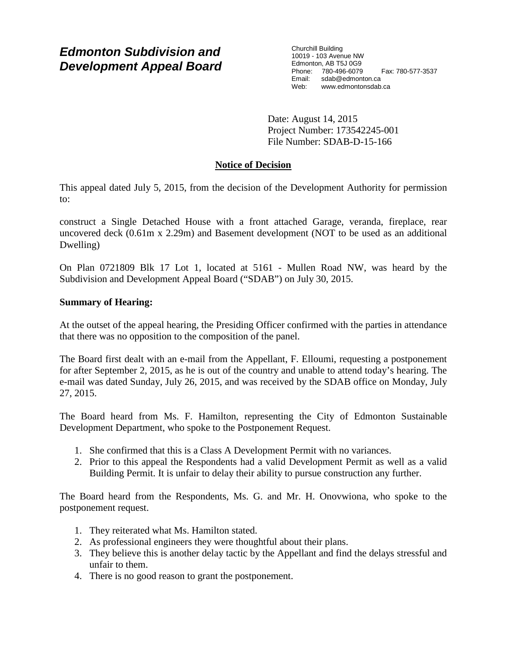# *Edmonton Subdivision and Development Appeal Board*

Churchill Building 10019 - 103 Avenue NW Edmonton, AB T5J 0G9 Phone: 780-496-6079 Fax: 780-577-3537 Email: sdab@edmonton.ca Web: www.edmontonsdab.ca

Date: August 14, 2015 Project Number: 173542245-001 File Number: SDAB-D-15-166

# **Notice of Decision**

This appeal dated July 5, 2015, from the decision of the Development Authority for permission to:

construct a Single Detached House with a front attached Garage, veranda, fireplace, rear uncovered deck (0.61m x 2.29m) and Basement development (NOT to be used as an additional Dwelling)

On Plan 0721809 Blk 17 Lot 1, located at 5161 - Mullen Road NW, was heard by the Subdivision and Development Appeal Board ("SDAB") on July 30, 2015.

## **Summary of Hearing:**

At the outset of the appeal hearing, the Presiding Officer confirmed with the parties in attendance that there was no opposition to the composition of the panel.

The Board first dealt with an e-mail from the Appellant, F. Elloumi, requesting a postponement for after September 2, 2015, as he is out of the country and unable to attend today's hearing. The e-mail was dated Sunday, July 26, 2015, and was received by the SDAB office on Monday, July 27, 2015.

The Board heard from Ms. F. Hamilton, representing the City of Edmonton Sustainable Development Department, who spoke to the Postponement Request.

- 1. She confirmed that this is a Class A Development Permit with no variances.
- 2. Prior to this appeal the Respondents had a valid Development Permit as well as a valid Building Permit. It is unfair to delay their ability to pursue construction any further.

The Board heard from the Respondents, Ms. G. and Mr. H. Onovwiona, who spoke to the postponement request.

- 1. They reiterated what Ms. Hamilton stated.
- 2. As professional engineers they were thoughtful about their plans.
- 3. They believe this is another delay tactic by the Appellant and find the delays stressful and unfair to them.
- 4. There is no good reason to grant the postponement.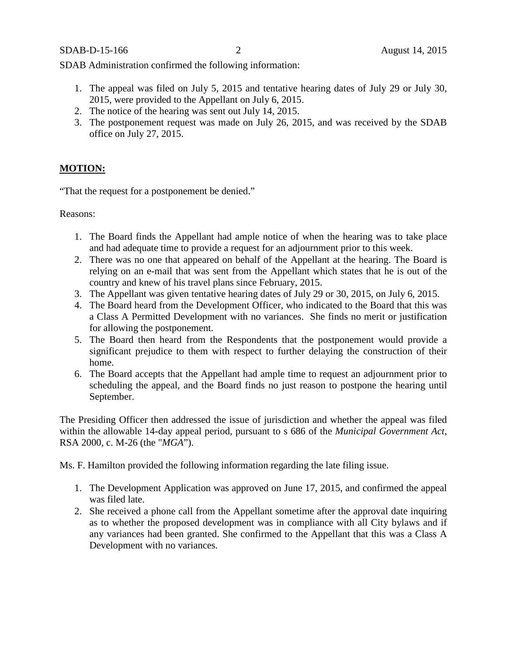SDAB Administration confirmed the following information:

- 1. The appeal was filed on July 5, 2015 and tentative hearing dates of July 29 or July 30, 2015, were provided to the Appellant on July 6, 2015.
- 2. The notice of the hearing was sent out July 14, 2015.
- 3. The postponement request was made on July 26, 2015, and was received by the SDAB office on July 27, 2015.

# **MOTION:**

"That the request for a postponement be denied."

Reasons:

- 1. The Board finds the Appellant had ample notice of when the hearing was to take place and had adequate time to provide a request for an adjournment prior to this week.
- 2. There was no one that appeared on behalf of the Appellant at the hearing. The Board is relying on an e-mail that was sent from the Appellant which states that he is out of the country and knew of his travel plans since February, 2015.
- 3. The Appellant was given tentative hearing dates of July 29 or 30, 2015, on July 6, 2015.
- 4. The Board heard from the Development Officer, who indicated to the Board that this was a Class A Permitted Development with no variances. She finds no merit or justification for allowing the postponement.
- 5. The Board then heard from the Respondents that the postponement would provide a significant prejudice to them with respect to further delaying the construction of their home.
- 6. The Board accepts that the Appellant had ample time to request an adjournment prior to scheduling the appeal, and the Board finds no just reason to postpone the hearing until September.

The Presiding Officer then addressed the issue of jurisdiction and whether the appeal was filed within the allowable 14-day appeal period, pursuant to s 686 of the *Municipal Government Act*, RSA 2000, c. M-26 (the "*MGA*").

Ms. F. Hamilton provided the following information regarding the late filing issue.

- 1. The Development Application was approved on June 17, 2015, and confirmed the appeal was filed late.
- 2. She received a phone call from the Appellant sometime after the approval date inquiring as to whether the proposed development was in compliance with all City bylaws and if any variances had been granted. She confirmed to the Appellant that this was a Class A Development with no variances.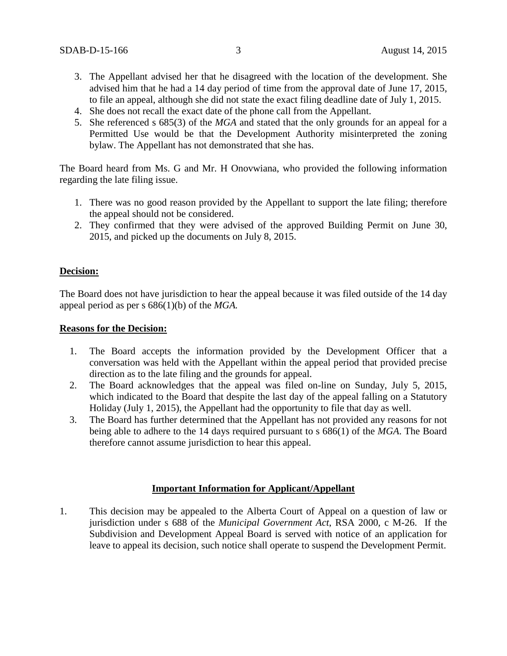- 3. The Appellant advised her that he disagreed with the location of the development. She advised him that he had a 14 day period of time from the approval date of June 17, 2015, to file an appeal, although she did not state the exact filing deadline date of July 1, 2015.
- 4. She does not recall the exact date of the phone call from the Appellant.
- 5. She referenced s 685(3) of the *MGA* and stated that the only grounds for an appeal for a Permitted Use would be that the Development Authority misinterpreted the zoning bylaw. The Appellant has not demonstrated that she has.

The Board heard from Ms. G and Mr. H Onovwiana, who provided the following information regarding the late filing issue.

- 1. There was no good reason provided by the Appellant to support the late filing; therefore the appeal should not be considered.
- 2. They confirmed that they were advised of the approved Building Permit on June 30, 2015, and picked up the documents on July 8, 2015.

## **Decision:**

The Board does not have jurisdiction to hear the appeal because it was filed outside of the 14 day appeal period as per s 686(1)(b) of the *MGA.*

#### **Reasons for the Decision:**

- 1. The Board accepts the information provided by the Development Officer that a conversation was held with the Appellant within the appeal period that provided precise direction as to the late filing and the grounds for appeal.
- 2. The Board acknowledges that the appeal was filed on-line on Sunday, July 5, 2015, which indicated to the Board that despite the last day of the appeal falling on a Statutory Holiday (July 1, 2015), the Appellant had the opportunity to file that day as well.
- 3. The Board has further determined that the Appellant has not provided any reasons for not being able to adhere to the 14 days required pursuant to s 686(1) of the *MGA*. The Board therefore cannot assume jurisdiction to hear this appeal.

### **Important Information for Applicant/Appellant**

1. This decision may be appealed to the Alberta Court of Appeal on a question of law or jurisdiction under s 688 of the *Municipal Government Act*, RSA 2000, c M-26. If the Subdivision and Development Appeal Board is served with notice of an application for leave to appeal its decision, such notice shall operate to suspend the Development Permit.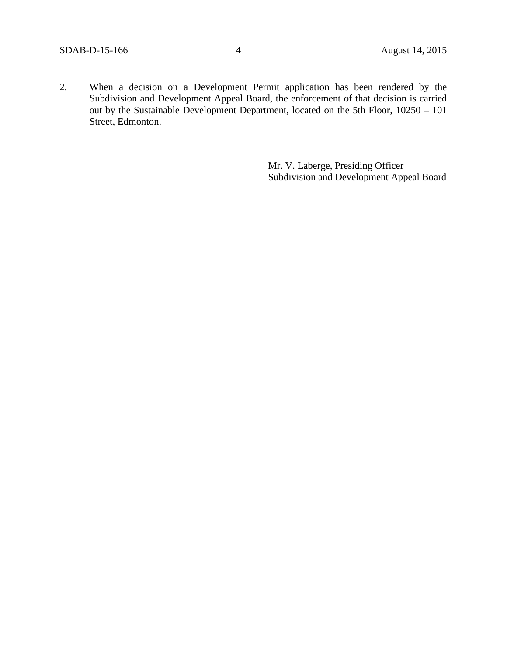2. When a decision on a Development Permit application has been rendered by the Subdivision and Development Appeal Board, the enforcement of that decision is carried out by the Sustainable Development Department, located on the 5th Floor, 10250 – 101 Street, Edmonton.

> Mr. V. Laberge, Presiding Officer Subdivision and Development Appeal Board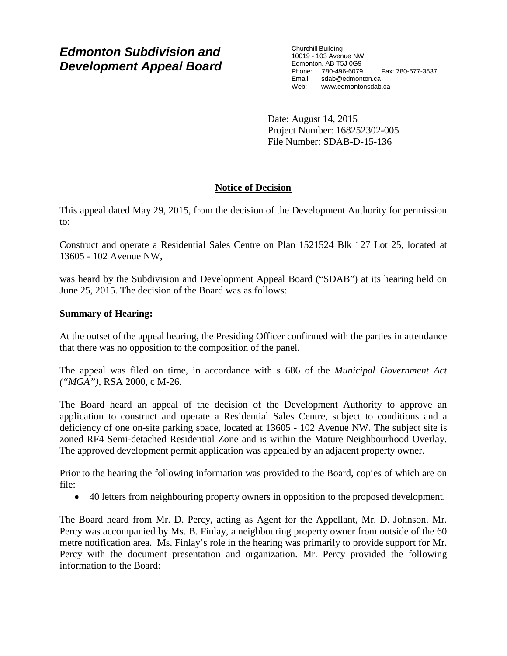# *Edmonton Subdivision and Development Appeal Board*

Churchill Building 10019 - 103 Avenue NW Edmonton, AB T5J 0G9 Phone: 780-496-6079 Fax: 780-577-3537 Email: sdab@edmonton.ca<br>Web: www.edmontonsdab www.edmontonsdab.ca

Date: August 14, 2015 Project Number: 168252302-005 File Number: SDAB-D-15-136

# **Notice of Decision**

This appeal dated May 29, 2015, from the decision of the Development Authority for permission to:

Construct and operate a Residential Sales Centre on Plan 1521524 Blk 127 Lot 25, located at 13605 - 102 Avenue NW,

was heard by the Subdivision and Development Appeal Board ("SDAB") at its hearing held on June 25, 2015. The decision of the Board was as follows:

# **Summary of Hearing:**

At the outset of the appeal hearing, the Presiding Officer confirmed with the parties in attendance that there was no opposition to the composition of the panel.

The appeal was filed on time, in accordance with s 686 of the *Municipal Government Act ("MGA")*, RSA 2000, c M-26.

The Board heard an appeal of the decision of the Development Authority to approve an application to construct and operate a Residential Sales Centre, subject to conditions and a deficiency of one on-site parking space, located at 13605 - 102 Avenue NW. The subject site is zoned RF4 Semi-detached Residential Zone and is within the Mature Neighbourhood Overlay. The approved development permit application was appealed by an adjacent property owner.

Prior to the hearing the following information was provided to the Board, copies of which are on file:

• 40 letters from neighbouring property owners in opposition to the proposed development.

The Board heard from Mr. D. Percy, acting as Agent for the Appellant, Mr. D. Johnson. Mr. Percy was accompanied by Ms. B. Finlay, a neighbouring property owner from outside of the 60 metre notification area. Ms. Finlay's role in the hearing was primarily to provide support for Mr. Percy with the document presentation and organization. Mr. Percy provided the following information to the Board: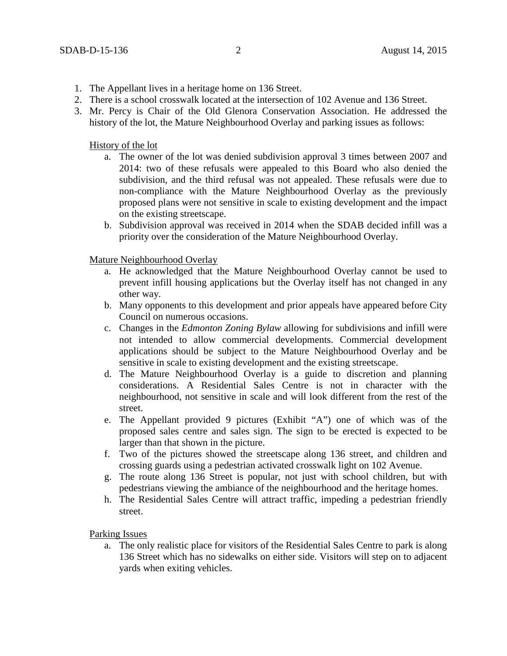- 1. The Appellant lives in a heritage home on 136 Street.
- 2. There is a school crosswalk located at the intersection of 102 Avenue and 136 Street.
- 3. Mr. Percy is Chair of the Old Glenora Conservation Association. He addressed the history of the lot, the Mature Neighbourhood Overlay and parking issues as follows:

History of the lot

- a. The owner of the lot was denied subdivision approval 3 times between 2007 and 2014: two of these refusals were appealed to this Board who also denied the subdivision, and the third refusal was not appealed. These refusals were due to non-compliance with the Mature Neighbourhood Overlay as the previously proposed plans were not sensitive in scale to existing development and the impact on the existing streetscape.
- b. Subdivision approval was received in 2014 when the SDAB decided infill was a priority over the consideration of the Mature Neighbourhood Overlay.

Mature Neighbourhood Overlay

- a. He acknowledged that the Mature Neighbourhood Overlay cannot be used to prevent infill housing applications but the Overlay itself has not changed in any other way.
- b. Many opponents to this development and prior appeals have appeared before City Council on numerous occasions.
- c. Changes in the *Edmonton Zoning Bylaw* allowing for subdivisions and infill were not intended to allow commercial developments. Commercial development applications should be subject to the Mature Neighbourhood Overlay and be sensitive in scale to existing development and the existing streetscape.
- d. The Mature Neighbourhood Overlay is a guide to discretion and planning considerations. A Residential Sales Centre is not in character with the neighbourhood, not sensitive in scale and will look different from the rest of the street.
- e. The Appellant provided 9 pictures (Exhibit "A") one of which was of the proposed sales centre and sales sign. The sign to be erected is expected to be larger than that shown in the picture.
- f. Two of the pictures showed the streetscape along 136 street, and children and crossing guards using a pedestrian activated crosswalk light on 102 Avenue.
- g. The route along 136 Street is popular, not just with school children, but with pedestrians viewing the ambiance of the neighbourhood and the heritage homes.
- h. The Residential Sales Centre will attract traffic, impeding a pedestrian friendly street.

Parking Issues

a. The only realistic place for visitors of the Residential Sales Centre to park is along 136 Street which has no sidewalks on either side. Visitors will step on to adjacent yards when exiting vehicles.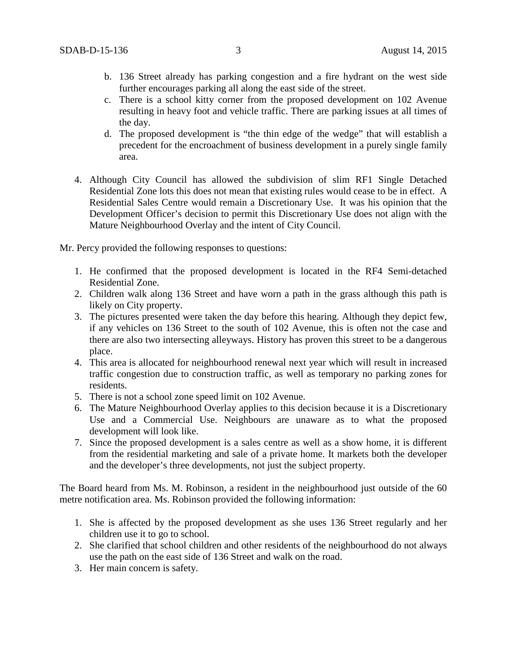- b. 136 Street already has parking congestion and a fire hydrant on the west side further encourages parking all along the east side of the street.
- c. There is a school kitty corner from the proposed development on 102 Avenue resulting in heavy foot and vehicle traffic. There are parking issues at all times of the day.
- d. The proposed development is "the thin edge of the wedge" that will establish a precedent for the encroachment of business development in a purely single family area.
- 4. Although City Council has allowed the subdivision of slim RF1 Single Detached Residential Zone lots this does not mean that existing rules would cease to be in effect. A Residential Sales Centre would remain a Discretionary Use. It was his opinion that the Development Officer's decision to permit this Discretionary Use does not align with the Mature Neighbourhood Overlay and the intent of City Council.

Mr. Percy provided the following responses to questions:

- 1. He confirmed that the proposed development is located in the RF4 Semi-detached Residential Zone.
- 2. Children walk along 136 Street and have worn a path in the grass although this path is likely on City property.
- 3. The pictures presented were taken the day before this hearing. Although they depict few, if any vehicles on 136 Street to the south of 102 Avenue, this is often not the case and there are also two intersecting alleyways. History has proven this street to be a dangerous place.
- 4. This area is allocated for neighbourhood renewal next year which will result in increased traffic congestion due to construction traffic, as well as temporary no parking zones for residents.
- 5. There is not a school zone speed limit on 102 Avenue.
- 6. The Mature Neighbourhood Overlay applies to this decision because it is a Discretionary Use and a Commercial Use. Neighbours are unaware as to what the proposed development will look like.
- 7. Since the proposed development is a sales centre as well as a show home, it is different from the residential marketing and sale of a private home. It markets both the developer and the developer's three developments, not just the subject property.

The Board heard from Ms. M. Robinson, a resident in the neighbourhood just outside of the 60 metre notification area. Ms. Robinson provided the following information:

- 1. She is affected by the proposed development as she uses 136 Street regularly and her children use it to go to school.
- 2. She clarified that school children and other residents of the neighbourhood do not always use the path on the east side of 136 Street and walk on the road.
- 3. Her main concern is safety.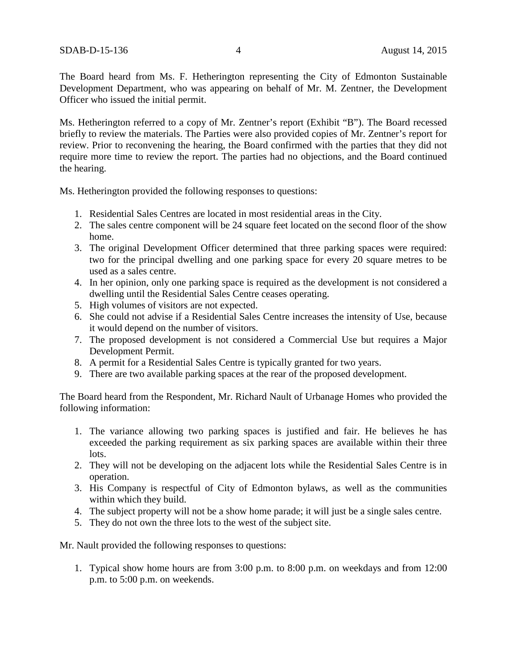The Board heard from Ms. F. Hetherington representing the City of Edmonton Sustainable Development Department, who was appearing on behalf of Mr. M. Zentner, the Development Officer who issued the initial permit.

Ms. Hetherington referred to a copy of Mr. Zentner's report (Exhibit "B"). The Board recessed briefly to review the materials. The Parties were also provided copies of Mr. Zentner's report for review. Prior to reconvening the hearing, the Board confirmed with the parties that they did not require more time to review the report. The parties had no objections, and the Board continued the hearing.

Ms. Hetherington provided the following responses to questions:

- 1. Residential Sales Centres are located in most residential areas in the City.
- 2. The sales centre component will be 24 square feet located on the second floor of the show home.
- 3. The original Development Officer determined that three parking spaces were required: two for the principal dwelling and one parking space for every 20 square metres to be used as a sales centre.
- 4. In her opinion, only one parking space is required as the development is not considered a dwelling until the Residential Sales Centre ceases operating.
- 5. High volumes of visitors are not expected.
- 6. She could not advise if a Residential Sales Centre increases the intensity of Use, because it would depend on the number of visitors.
- 7. The proposed development is not considered a Commercial Use but requires a Major Development Permit.
- 8. A permit for a Residential Sales Centre is typically granted for two years.
- 9. There are two available parking spaces at the rear of the proposed development.

The Board heard from the Respondent, Mr. Richard Nault of Urbanage Homes who provided the following information:

- 1. The variance allowing two parking spaces is justified and fair. He believes he has exceeded the parking requirement as six parking spaces are available within their three lots.
- 2. They will not be developing on the adjacent lots while the Residential Sales Centre is in operation.
- 3. His Company is respectful of City of Edmonton bylaws, as well as the communities within which they build.
- 4. The subject property will not be a show home parade; it will just be a single sales centre.
- 5. They do not own the three lots to the west of the subject site.

Mr. Nault provided the following responses to questions:

1. Typical show home hours are from 3:00 p.m. to 8:00 p.m. on weekdays and from 12:00 p.m. to 5:00 p.m. on weekends.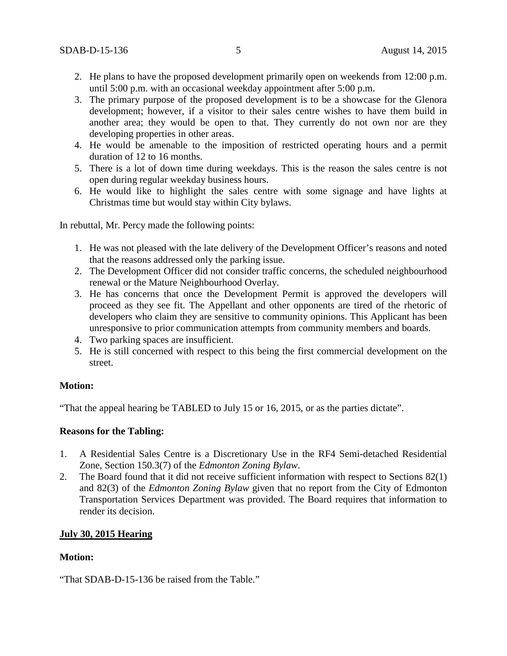- 2. He plans to have the proposed development primarily open on weekends from 12:00 p.m. until 5:00 p.m. with an occasional weekday appointment after 5:00 p.m.
- 3. The primary purpose of the proposed development is to be a showcase for the Glenora development; however, if a visitor to their sales centre wishes to have them build in another area; they would be open to that. They currently do not own nor are they developing properties in other areas.
- 4. He would be amenable to the imposition of restricted operating hours and a permit duration of 12 to 16 months.
- 5. There is a lot of down time during weekdays. This is the reason the sales centre is not open during regular weekday business hours.
- 6. He would like to highlight the sales centre with some signage and have lights at Christmas time but would stay within City bylaws.

In rebuttal, Mr. Percy made the following points:

- 1. He was not pleased with the late delivery of the Development Officer's reasons and noted that the reasons addressed only the parking issue.
- 2. The Development Officer did not consider traffic concerns, the scheduled neighbourhood renewal or the Mature Neighbourhood Overlay.
- 3. He has concerns that once the Development Permit is approved the developers will proceed as they see fit. The Appellant and other opponents are tired of the rhetoric of developers who claim they are sensitive to community opinions. This Applicant has been unresponsive to prior communication attempts from community members and boards.
- 4. Two parking spaces are insufficient.
- 5. He is still concerned with respect to this being the first commercial development on the street.

## **Motion:**

"That the appeal hearing be TABLED to July 15 or 16, 2015, or as the parties dictate".

## **Reasons for the Tabling:**

- 1. A Residential Sales Centre is a Discretionary Use in the RF4 Semi-detached Residential Zone, Section 150.3(7) of the *Edmonton Zoning Bylaw*.
- 2. The Board found that it did not receive sufficient information with respect to Sections 82(1) and 82(3) of the *Edmonton Zoning Bylaw* given that no report from the City of Edmonton Transportation Services Department was provided. The Board requires that information to render its decision.

## **July 30, 2015 Hearing**

## **Motion:**

"That SDAB-D-15-136 be raised from the Table."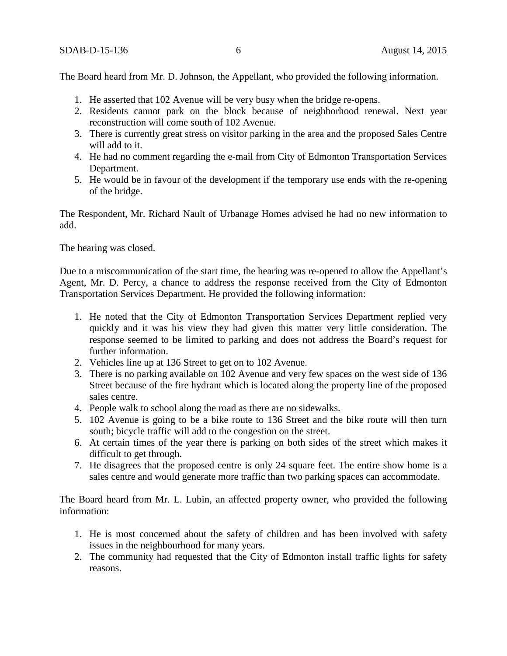The Board heard from Mr. D. Johnson, the Appellant, who provided the following information.

- 1. He asserted that 102 Avenue will be very busy when the bridge re-opens.
- 2. Residents cannot park on the block because of neighborhood renewal. Next year reconstruction will come south of 102 Avenue.
- 3. There is currently great stress on visitor parking in the area and the proposed Sales Centre will add to it.
- 4. He had no comment regarding the e-mail from City of Edmonton Transportation Services Department.
- 5. He would be in favour of the development if the temporary use ends with the re-opening of the bridge.

The Respondent, Mr. Richard Nault of Urbanage Homes advised he had no new information to add.

The hearing was closed.

Due to a miscommunication of the start time, the hearing was re-opened to allow the Appellant's Agent, Mr. D. Percy, a chance to address the response received from the City of Edmonton Transportation Services Department. He provided the following information:

- 1. He noted that the City of Edmonton Transportation Services Department replied very quickly and it was his view they had given this matter very little consideration. The response seemed to be limited to parking and does not address the Board's request for further information.
- 2. Vehicles line up at 136 Street to get on to 102 Avenue.
- 3. There is no parking available on 102 Avenue and very few spaces on the west side of 136 Street because of the fire hydrant which is located along the property line of the proposed sales centre.
- 4. People walk to school along the road as there are no sidewalks.
- 5. 102 Avenue is going to be a bike route to 136 Street and the bike route will then turn south; bicycle traffic will add to the congestion on the street.
- 6. At certain times of the year there is parking on both sides of the street which makes it difficult to get through.
- 7. He disagrees that the proposed centre is only 24 square feet. The entire show home is a sales centre and would generate more traffic than two parking spaces can accommodate.

The Board heard from Mr. L. Lubin, an affected property owner, who provided the following information:

- 1. He is most concerned about the safety of children and has been involved with safety issues in the neighbourhood for many years.
- 2. The community had requested that the City of Edmonton install traffic lights for safety reasons.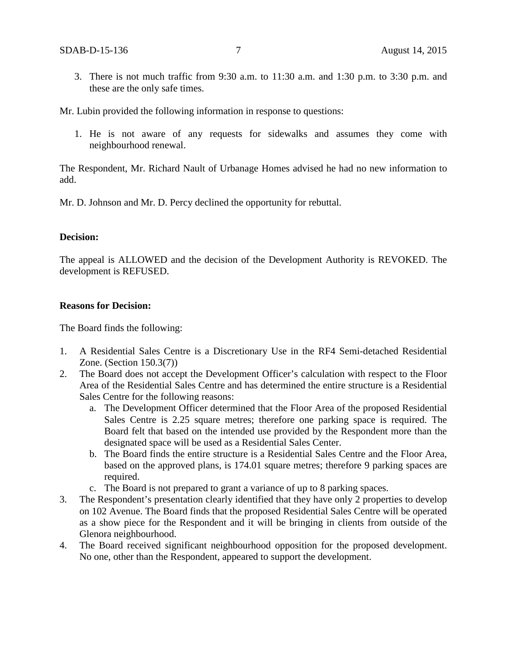3. There is not much traffic from 9:30 a.m. to 11:30 a.m. and 1:30 p.m. to 3:30 p.m. and these are the only safe times.

Mr. Lubin provided the following information in response to questions:

1. He is not aware of any requests for sidewalks and assumes they come with neighbourhood renewal.

The Respondent, Mr. Richard Nault of Urbanage Homes advised he had no new information to add.

Mr. D. Johnson and Mr. D. Percy declined the opportunity for rebuttal.

#### **Decision:**

The appeal is ALLOWED and the decision of the Development Authority is REVOKED. The development is REFUSED.

### **Reasons for Decision:**

The Board finds the following:

- 1. A Residential Sales Centre is a Discretionary Use in the RF4 Semi-detached Residential Zone. (Section 150.3(7))
- 2. The Board does not accept the Development Officer's calculation with respect to the Floor Area of the Residential Sales Centre and has determined the entire structure is a Residential Sales Centre for the following reasons:
	- a. The Development Officer determined that the Floor Area of the proposed Residential Sales Centre is 2.25 square metres; therefore one parking space is required. The Board felt that based on the intended use provided by the Respondent more than the designated space will be used as a Residential Sales Center.
	- b. The Board finds the entire structure is a Residential Sales Centre and the Floor Area, based on the approved plans, is 174.01 square metres; therefore 9 parking spaces are required.
	- c. The Board is not prepared to grant a variance of up to 8 parking spaces.
- 3. The Respondent's presentation clearly identified that they have only 2 properties to develop on 102 Avenue. The Board finds that the proposed Residential Sales Centre will be operated as a show piece for the Respondent and it will be bringing in clients from outside of the Glenora neighbourhood.
- 4. The Board received significant neighbourhood opposition for the proposed development. No one, other than the Respondent, appeared to support the development.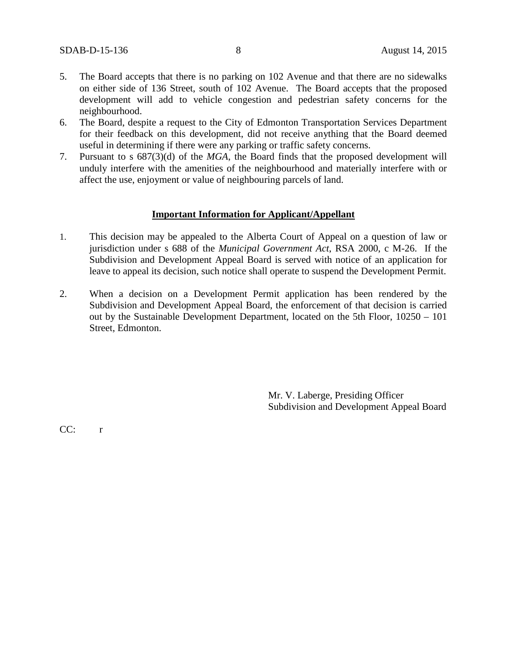- 5. The Board accepts that there is no parking on 102 Avenue and that there are no sidewalks on either side of 136 Street, south of 102 Avenue. The Board accepts that the proposed development will add to vehicle congestion and pedestrian safety concerns for the neighbourhood.
- 6. The Board, despite a request to the City of Edmonton Transportation Services Department for their feedback on this development, did not receive anything that the Board deemed useful in determining if there were any parking or traffic safety concerns.
- 7. Pursuant to s 687(3)(d) of the *MGA*, the Board finds that the proposed development will unduly interfere with the amenities of the neighbourhood and materially interfere with or affect the use, enjoyment or value of neighbouring parcels of land.

### **Important Information for Applicant/Appellant**

- 1. This decision may be appealed to the Alberta Court of Appeal on a question of law or jurisdiction under s 688 of the *Municipal Government Act*, RSA 2000, c M-26. If the Subdivision and Development Appeal Board is served with notice of an application for leave to appeal its decision, such notice shall operate to suspend the Development Permit.
- 2. When a decision on a Development Permit application has been rendered by the Subdivision and Development Appeal Board, the enforcement of that decision is carried out by the Sustainable Development Department, located on the 5th Floor, 10250 – 101 Street, Edmonton.

Mr. V. Laberge, Presiding Officer Subdivision and Development Appeal Board

CC: r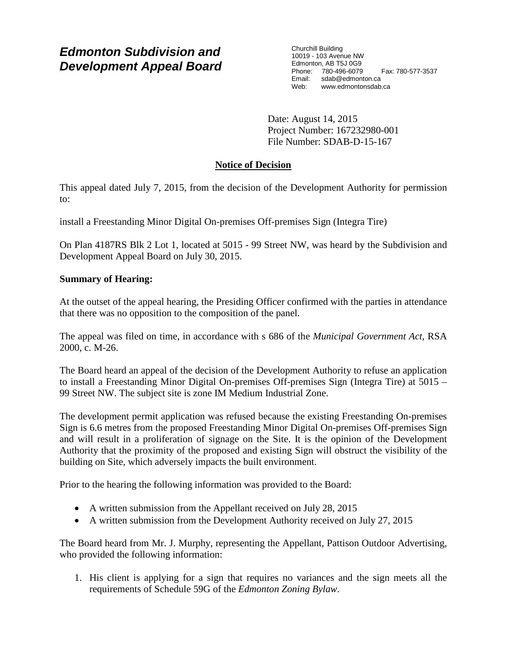# *Edmonton Subdivision and Development Appeal Board*

Churchill Building 10019 - 103 Avenue NW Edmonton, AB T5J 0G9 Phone: 780-496-6079 Fax: 780-577-3537 Email: sdab@edmonton.ca<br>Web: www.edmontonsdab www.edmontonsdab.ca

Date: August 14, 2015 Project Number: 167232980-001 File Number: SDAB-D-15-167

# **Notice of Decision**

This appeal dated July 7, 2015, from the decision of the Development Authority for permission to:

install a Freestanding Minor Digital On-premises Off-premises Sign (Integra Tire)

On Plan 4187RS Blk 2 Lot 1, located at 5015 - 99 Street NW, was heard by the Subdivision and Development Appeal Board on July 30, 2015.

# **Summary of Hearing:**

At the outset of the appeal hearing, the Presiding Officer confirmed with the parties in attendance that there was no opposition to the composition of the panel.

The appeal was filed on time, in accordance with s 686 of the *Municipal Government Act*, RSA 2000, c. M-26.

The Board heard an appeal of the decision of the Development Authority to refuse an application to install a Freestanding Minor Digital On-premises Off-premises Sign (Integra Tire) at 5015 – 99 Street NW. The subject site is zone IM Medium Industrial Zone.

The development permit application was refused because the existing Freestanding On-premises Sign is 6.6 metres from the proposed Freestanding Minor Digital On-premises Off-premises Sign and will result in a proliferation of signage on the Site. It is the opinion of the Development Authority that the proximity of the proposed and existing Sign will obstruct the visibility of the building on Site, which adversely impacts the built environment.

Prior to the hearing the following information was provided to the Board:

- A written submission from the Appellant received on July 28, 2015
- A written submission from the Development Authority received on July 27, 2015

The Board heard from Mr. J. Murphy, representing the Appellant, Pattison Outdoor Advertising, who provided the following information:

1. His client is applying for a sign that requires no variances and the sign meets all the requirements of Schedule 59G of the *Edmonton Zoning Bylaw*.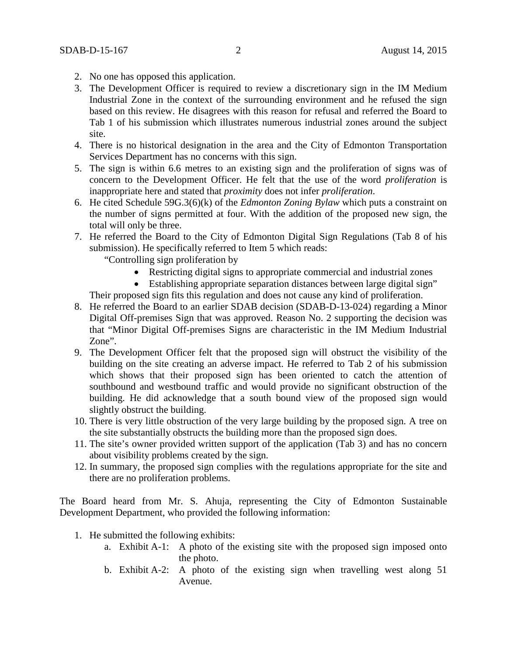- 2. No one has opposed this application.
- 3. The Development Officer is required to review a discretionary sign in the IM Medium Industrial Zone in the context of the surrounding environment and he refused the sign based on this review. He disagrees with this reason for refusal and referred the Board to Tab 1 of his submission which illustrates numerous industrial zones around the subject site.
- 4. There is no historical designation in the area and the City of Edmonton Transportation Services Department has no concerns with this sign.
- 5. The sign is within 6.6 metres to an existing sign and the proliferation of signs was of concern to the Development Officer. He felt that the use of the word *proliferation* is inappropriate here and stated that *proximity* does not infer *proliferation*.
- 6. He cited Schedule 59G.3(6)(k) of the *Edmonton Zoning Bylaw* which puts a constraint on the number of signs permitted at four. With the addition of the proposed new sign, the total will only be three.
- 7. He referred the Board to the City of Edmonton Digital Sign Regulations (Tab 8 of his submission). He specifically referred to Item 5 which reads:

"Controlling sign proliferation by

- Restricting digital signs to appropriate commercial and industrial zones
- Establishing appropriate separation distances between large digital sign"

Their proposed sign fits this regulation and does not cause any kind of proliferation.

- 8. He referred the Board to an earlier SDAB decision (SDAB-D-13-024) regarding a Minor Digital Off-premises Sign that was approved. Reason No. 2 supporting the decision was that "Minor Digital Off-premises Signs are characteristic in the IM Medium Industrial Zone".
- 9. The Development Officer felt that the proposed sign will obstruct the visibility of the building on the site creating an adverse impact. He referred to Tab 2 of his submission which shows that their proposed sign has been oriented to catch the attention of southbound and westbound traffic and would provide no significant obstruction of the building. He did acknowledge that a south bound view of the proposed sign would slightly obstruct the building.
- 10. There is very little obstruction of the very large building by the proposed sign. A tree on the site substantially obstructs the building more than the proposed sign does.
- 11. The site's owner provided written support of the application (Tab 3) and has no concern about visibility problems created by the sign.
- 12. In summary, the proposed sign complies with the regulations appropriate for the site and there are no proliferation problems.

The Board heard from Mr. S. Ahuja, representing the City of Edmonton Sustainable Development Department, who provided the following information:

- 1. He submitted the following exhibits:
	- a. Exhibit A-1: A photo of the existing site with the proposed sign imposed onto the photo.
	- b. Exhibit A-2: A photo of the existing sign when travelling west along 51 Avenue.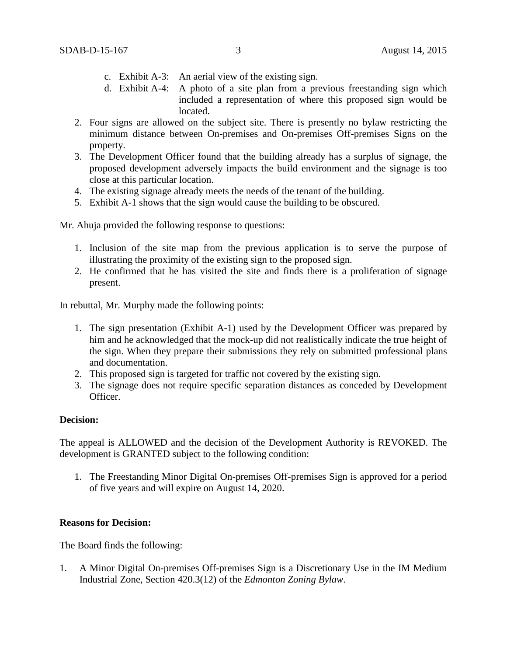- c. Exhibit A-3: An aerial view of the existing sign.
- d. Exhibit A-4: A photo of a site plan from a previous freestanding sign which included a representation of where this proposed sign would be located.
- 2. Four signs are allowed on the subject site. There is presently no bylaw restricting the minimum distance between On-premises and On-premises Off-premises Signs on the property.
- 3. The Development Officer found that the building already has a surplus of signage, the proposed development adversely impacts the build environment and the signage is too close at this particular location.
- 4. The existing signage already meets the needs of the tenant of the building.
- 5. Exhibit A-1 shows that the sign would cause the building to be obscured.

Mr. Ahuja provided the following response to questions:

- 1. Inclusion of the site map from the previous application is to serve the purpose of illustrating the proximity of the existing sign to the proposed sign.
- 2. He confirmed that he has visited the site and finds there is a proliferation of signage present.

In rebuttal, Mr. Murphy made the following points:

- 1. The sign presentation (Exhibit A-1) used by the Development Officer was prepared by him and he acknowledged that the mock-up did not realistically indicate the true height of the sign. When they prepare their submissions they rely on submitted professional plans and documentation.
- 2. This proposed sign is targeted for traffic not covered by the existing sign.
- 3. The signage does not require specific separation distances as conceded by Development Officer.

#### **Decision:**

The appeal is ALLOWED and the decision of the Development Authority is REVOKED. The development is GRANTED subject to the following condition:

1. The Freestanding Minor Digital On-premises Off-premises Sign is approved for a period of five years and will expire on August 14, 2020.

#### **Reasons for Decision:**

The Board finds the following:

1. A Minor Digital On-premises Off-premises Sign is a Discretionary Use in the IM Medium Industrial Zone, Section 420.3(12) of the *Edmonton Zoning Bylaw*.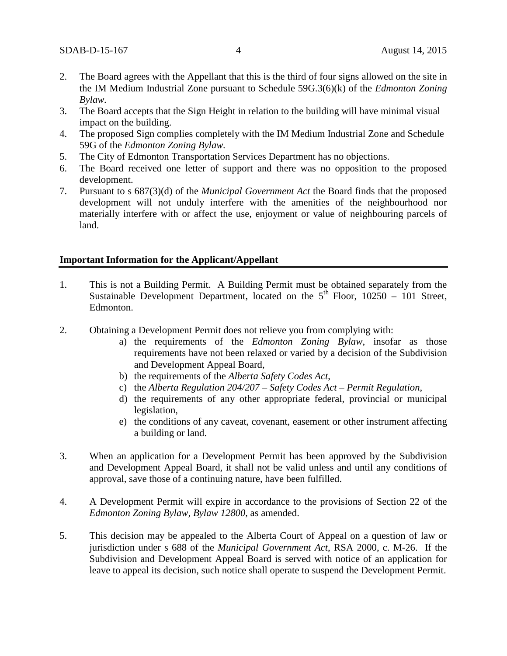- 2. The Board agrees with the Appellant that this is the third of four signs allowed on the site in the IM Medium Industrial Zone pursuant to Schedule 59G.3(6)(k) of the *Edmonton Zoning Bylaw.*
- 3. The Board accepts that the Sign Height in relation to the building will have minimal visual impact on the building.
- 4. The proposed Sign complies completely with the IM Medium Industrial Zone and Schedule 59G of the *Edmonton Zoning Bylaw.*
- 5. The City of Edmonton Transportation Services Department has no objections.
- 6. The Board received one letter of support and there was no opposition to the proposed development.
- 7. Pursuant to s 687(3)(d) of the *Municipal Government Act* the Board finds that the proposed development will not unduly interfere with the amenities of the neighbourhood nor materially interfere with or affect the use, enjoyment or value of neighbouring parcels of land.

#### **Important Information for the Applicant/Appellant**

- 1. This is not a Building Permit. A Building Permit must be obtained separately from the Sustainable Development Department, located on the  $5<sup>th</sup>$  Floor, 10250 – 101 Street, Edmonton.
- 2. Obtaining a Development Permit does not relieve you from complying with:
	- a) the requirements of the *Edmonton Zoning Bylaw*, insofar as those requirements have not been relaxed or varied by a decision of the Subdivision and Development Appeal Board,
	- b) the requirements of the *Alberta Safety Codes Act*,
	- c) the *Alberta Regulation 204/207 – Safety Codes Act – Permit Regulation*,
	- d) the requirements of any other appropriate federal, provincial or municipal legislation,
	- e) the conditions of any caveat, covenant, easement or other instrument affecting a building or land.
- 3. When an application for a Development Permit has been approved by the Subdivision and Development Appeal Board, it shall not be valid unless and until any conditions of approval, save those of a continuing nature, have been fulfilled.
- 4. A Development Permit will expire in accordance to the provisions of Section 22 of the *Edmonton Zoning Bylaw, Bylaw 12800*, as amended.
- 5. This decision may be appealed to the Alberta Court of Appeal on a question of law or jurisdiction under s 688 of the *Municipal Government Act*, RSA 2000, c. M-26. If the Subdivision and Development Appeal Board is served with notice of an application for leave to appeal its decision, such notice shall operate to suspend the Development Permit.